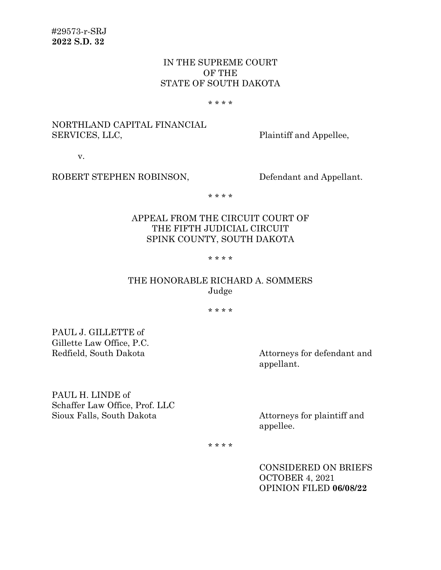# IN THE SUPREME COURT OF THE STATE OF SOUTH DAKOTA

#### \* \* \* \*

# NORTHLAND CAPITAL FINANCIAL SERVICES, LLC, Plaintiff and Appellee,

v.

### ROBERT STEPHEN ROBINSON, Defendant and Appellant.

\* \* \* \*

# APPEAL FROM THE CIRCUIT COURT OF THE FIFTH JUDICIAL CIRCUIT SPINK COUNTY, SOUTH DAKOTA

#### \* \* \* \*

# THE HONORABLE RICHARD A. SOMMERS Judge

\* \* \* \*

PAUL J. GILLETTE of Gillette Law Office, P.C.

Redfield, South Dakota Attorneys for defendant and appellant.

PAUL H. LINDE of Schaffer Law Office, Prof. LLC Sioux Falls, South Dakota Attorneys for plaintiff and

appellee.

\* \* \* \*

CONSIDERED ON BRIEFS OCTOBER 4, 2021 OPINION FILED **06/08/22**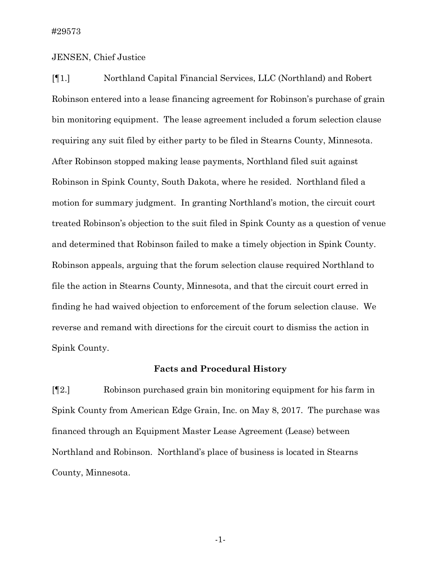### JENSEN, Chief Justice

[¶1.] Northland Capital Financial Services, LLC (Northland) and Robert Robinson entered into a lease financing agreement for Robinson's purchase of grain bin monitoring equipment. The lease agreement included a forum selection clause requiring any suit filed by either party to be filed in Stearns County, Minnesota. After Robinson stopped making lease payments, Northland filed suit against Robinson in Spink County, South Dakota, where he resided. Northland filed a motion for summary judgment. In granting Northland's motion, the circuit court treated Robinson's objection to the suit filed in Spink County as a question of venue and determined that Robinson failed to make a timely objection in Spink County. Robinson appeals, arguing that the forum selection clause required Northland to file the action in Stearns County, Minnesota, and that the circuit court erred in finding he had waived objection to enforcement of the forum selection clause.We reverse and remand with directions for the circuit court to dismiss the action in Spink County.

### **Facts and Procedural History**

[¶2.] Robinson purchased grain bin monitoring equipment for his farm in Spink County from American Edge Grain, Inc. on May 8, 2017. The purchase was financed through an Equipment Master Lease Agreement (Lease) between Northland and Robinson. Northland's place of business is located in Stearns County, Minnesota.

-1-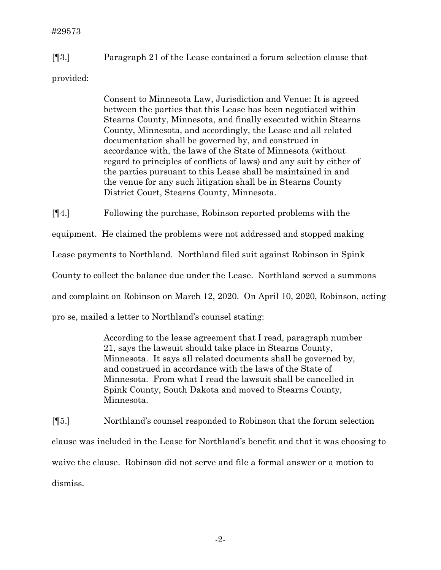[¶3.] Paragraph 21 of the Lease contained a forum selection clause that

provided:

Consent to Minnesota Law, Jurisdiction and Venue: It is agreed between the parties that this Lease has been negotiated within Stearns County, Minnesota, and finally executed within Stearns County, Minnesota, and accordingly, the Lease and all related documentation shall be governed by, and construed in accordance with, the laws of the State of Minnesota (without regard to principles of conflicts of laws) and any suit by either of the parties pursuant to this Lease shall be maintained in and the venue for any such litigation shall be in Stearns County District Court, Stearns County, Minnesota.

[¶4.] Following the purchase, Robinson reported problems with the

equipment. He claimed the problems were not addressed and stopped making

Lease payments to Northland. Northland filed suit against Robinson in Spink

County to collect the balance due under the Lease. Northland served a summons

and complaint on Robinson on March 12, 2020. On April 10, 2020, Robinson, acting

pro se, mailed a letter to Northland's counsel stating:

According to the lease agreement that I read, paragraph number 21, says the lawsuit should take place in Stearns County, Minnesota. It says all related documents shall be governed by, and construed in accordance with the laws of the State of Minnesota. From what I read the lawsuit shall be cancelled in Spink County, South Dakota and moved to Stearns County, Minnesota.

[¶5.] Northland's counsel responded to Robinson that the forum selection clause was included in the Lease for Northland's benefit and that it was choosing to waive the clause. Robinson did not serve and file a formal answer or a motion to dismiss.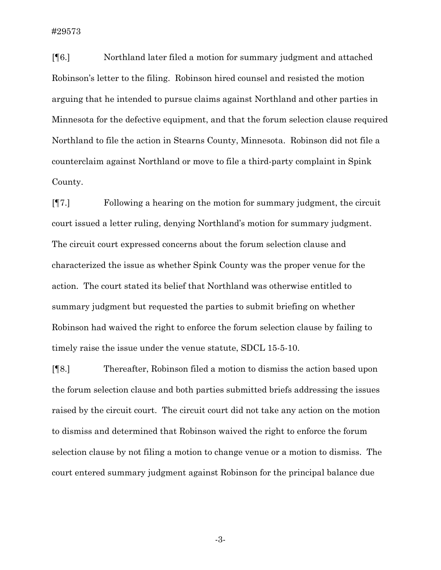[¶6.] Northland later filed a motion for summary judgment and attached Robinson's letter to the filing. Robinson hired counsel and resisted the motion arguing that he intended to pursue claims against Northland and other parties in Minnesota for the defective equipment, and that the forum selection clause required Northland to file the action in Stearns County, Minnesota. Robinson did not file a counterclaim against Northland or move to file a third-party complaint in Spink County.

[¶7.] Following a hearing on the motion for summary judgment, the circuit court issued a letter ruling, denying Northland's motion for summary judgment. The circuit court expressed concerns about the forum selection clause and characterized the issue as whether Spink County was the proper venue for the action. The court stated its belief that Northland was otherwise entitled to summary judgment but requested the parties to submit briefing on whether Robinson had waived the right to enforce the forum selection clause by failing to timely raise the issue under the venue statute, SDCL 15-5-10.

[¶8.] Thereafter, Robinson filed a motion to dismiss the action based upon the forum selection clause and both parties submitted briefs addressing the issues raised by the circuit court. The circuit court did not take any action on the motion to dismiss and determined that Robinson waived the right to enforce the forum selection clause by not filing a motion to change venue or a motion to dismiss. The court entered summary judgment against Robinson for the principal balance due

-3-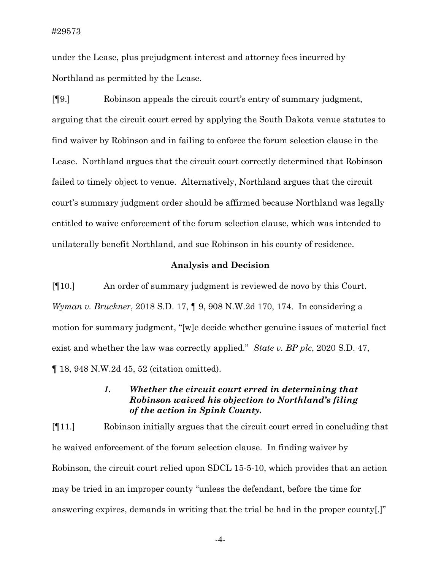under the Lease, plus prejudgment interest and attorney fees incurred by Northland as permitted by the Lease.

[¶9.] Robinson appeals the circuit court's entry of summary judgment, arguing that the circuit court erred by applying the South Dakota venue statutes to find waiver by Robinson and in failing to enforce the forum selection clause in the Lease. Northland argues that the circuit court correctly determined that Robinson failed to timely object to venue. Alternatively, Northland argues that the circuit court's summary judgment order should be affirmed because Northland was legally entitled to waive enforcement of the forum selection clause, which was intended to unilaterally benefit Northland, and sue Robinson in his county of residence.

### **Analysis and Decision**

[¶10.] An order of summary judgment is reviewed de novo by this Court. *Wyman v. Bruckner*, 2018 S.D. 17, ¶ 9, 908 N.W.2d 170, 174. In considering a motion for summary judgment, "[w]e decide whether genuine issues of material fact exist and whether the law was correctly applied." *State v. BP plc*, 2020 S.D. 47, ¶ 18, 948 N.W.2d 45, 52 (citation omitted).

# *1. Whether the circuit court erred in determining that Robinson waived his objection to Northland's filing of the action in Spink County.*

[¶11.] Robinson initially argues that the circuit court erred in concluding that he waived enforcement of the forum selection clause. In finding waiver by Robinson, the circuit court relied upon SDCL 15-5-10, which provides that an action may be tried in an improper county "unless the defendant, before the time for answering expires, demands in writing that the trial be had in the proper county[.]"

-4-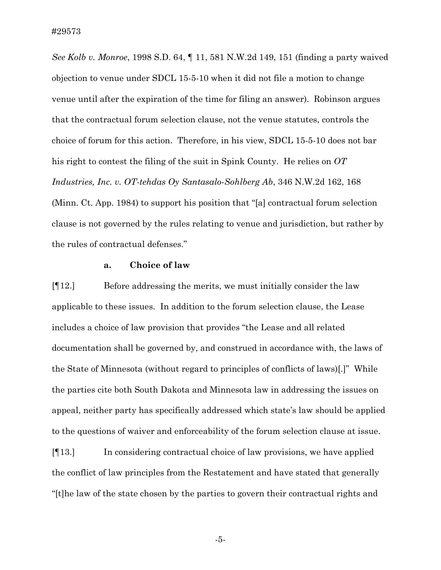*See Kolb v. Monroe*, 1998 S.D. 64, ¶ 11, 581 N.W.2d 149, 151 (finding a party waived objection to venue under SDCL 15-5-10 when it did not file a motion to change venue until after the expiration of the time for filing an answer). Robinson argues that the contractual forum selection clause, not the venue statutes, controls the choice of forum for this action. Therefore, in his view, SDCL 15-5-10 does not bar his right to contest the filing of the suit in Spink County. He relies on *OT Industries, Inc. v. OT-tehdas Oy Santasalo-Sohlberg Ab*, 346 N.W.2d 162, 168 (Minn. Ct. App. 1984) to support his position that "[a] contractual forum selection clause is not governed by the rules relating to venue and jurisdiction, but rather by the rules of contractual defenses."

### **a. Choice of law**

[¶12.] Before addressing the merits, we must initially consider the law applicable to these issues. In addition to the forum selection clause, the Lease includes a choice of law provision that provides "the Lease and all related documentation shall be governed by, and construed in accordance with, the laws of the State of Minnesota (without regard to principles of conflicts of laws)[.]" While the parties cite both South Dakota and Minnesota law in addressing the issues on appeal, neither party has specifically addressed which state's law should be applied to the questions of waiver and enforceability of the forum selection clause at issue.

[¶13.] In considering contractual choice of law provisions, we have applied the conflict of law principles from the Restatement and have stated that generally "[t]he law of the state chosen by the parties to govern their contractual rights and

-5-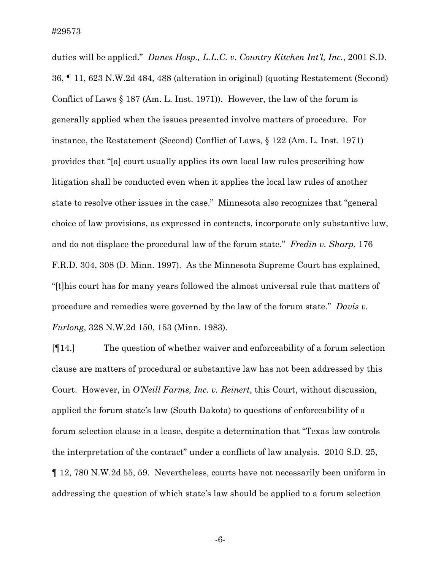duties will be applied." *Dunes Hosp., L.L.C. v. Country Kitchen Int'l, Inc.*, 2001 S.D. 36, ¶ 11, 623 N.W.2d 484, 488 (alteration in original) (quoting Restatement (Second) Conflict of Laws § 187 (Am. L. Inst. 1971)). However, the law of the forum is generally applied when the issues presented involve matters of procedure. For instance, the Restatement (Second) Conflict of Laws, § 122 (Am. L. Inst. 1971) provides that "[a] court usually applies its own local law rules prescribing how litigation shall be conducted even when it applies the local law rules of another state to resolve other issues in the case." Minnesota also recognizes that "general choice of law provisions, as expressed in contracts, incorporate only substantive law, and do not displace the procedural law of the forum state." *Fredin v. Sharp*, 176 F.R.D. 304, 308 (D. Minn. 1997). As the Minnesota Supreme Court has explained, "[t]his court has for many years followed the almost universal rule that matters of procedure and remedies were governed by the law of the forum state." *Davis v. Furlong*, 328 N.W.2d 150, 153 (Minn. 1983).

[¶14.] The question of whether waiver and enforceability of a forum selection clause are matters of procedural or substantive law has not been addressed by this Court. However, in *O'Neill Farms, Inc. v. Reinert*, this Court, without discussion, applied the forum state's law (South Dakota) to questions of enforceability of a forum selection clause in a lease, despite a determination that "Texas law controls the interpretation of the contract" under a conflicts of law analysis. 2010 S.D. 25, ¶ 12, 780 N.W.2d 55, 59. Nevertheless, courts have not necessarily been uniform in addressing the question of which state's law should be applied to a forum selection

-6-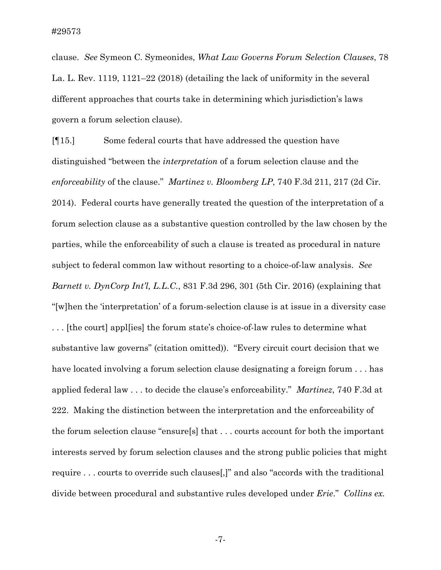clause. *See* Symeon C. Symeonides, *What Law Governs Forum Selection Clauses*, 78 La. L. Rev. 1119, 1121–22 (2018) (detailing the lack of uniformity in the several different approaches that courts take in determining which jurisdiction's laws govern a forum selection clause).

[¶15.] Some federal courts that have addressed the question have distinguished "between the *interpretation* of a forum selection clause and the *enforceability* of the clause." *Martinez v. Bloomberg LP*, 740 F.3d 211, 217 (2d Cir. 2014). Federal courts have generally treated the question of the interpretation of a forum selection clause as a substantive question controlled by the law chosen by the parties, while the enforceability of such a clause is treated as procedural in nature subject to federal common law without resorting to a choice-of-law analysis. *See Barnett v. DynCorp Int'l, L.L.C.*, 831 F.3d 296, 301 (5th Cir. 2016) (explaining that "[w]hen the 'interpretation' of a forum-selection clause is at issue in a diversity case . . . [the court] appl[ies] the forum state's choice-of-law rules to determine what substantive law governs" (citation omitted)). "Every circuit court decision that we have located involving a forum selection clause designating a foreign forum . . . has applied federal law . . . to decide the clause's enforceability." *Martinez*, 740 F.3d at 222. Making the distinction between the interpretation and the enforceability of the forum selection clause ''ensure[s] that . . . courts account for both the important interests served by forum selection clauses and the strong public policies that might require . . . courts to override such clauses[,]" and also "accords with the traditional divide between procedural and substantive rules developed under *Erie*." *Collins ex.* 

-7-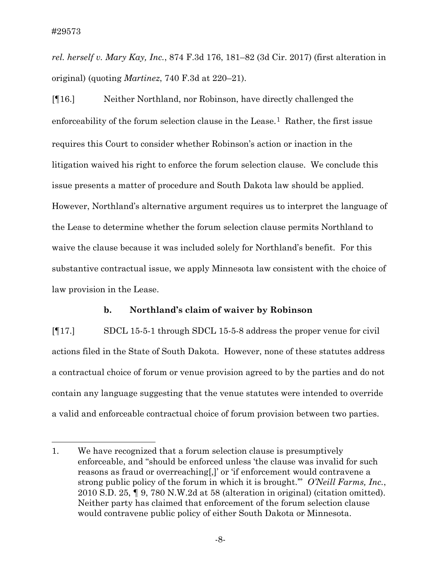*rel. herself v. Mary Kay, Inc.*, 874 F.3d 176, 181–82 (3d Cir. 2017) (first alteration in original) (quoting *Martinez*, 740 F.3d at 220–21).

[¶16.] Neither Northland, nor Robinson, have directly challenged the enforceability of the forum selection clause in the Lease.<sup>[1](#page-8-0)</sup> Rather, the first issue requires this Court to consider whether Robinson's action or inaction in the litigation waived his right to enforce the forum selection clause. We conclude this issue presents a matter of procedure and South Dakota law should be applied. However, Northland's alternative argument requires us to interpret the language of the Lease to determine whether the forum selection clause permits Northland to waive the clause because it was included solely for Northland's benefit. For this substantive contractual issue, we apply Minnesota law consistent with the choice of law provision in the Lease.

### **b. Northland's claim of waiver by Robinson**

[¶17.] SDCL 15-5-1 through SDCL 15-5-8 address the proper venue for civil actions filed in the State of South Dakota. However, none of these statutes address a contractual choice of forum or venue provision agreed to by the parties and do not contain any language suggesting that the venue statutes were intended to override a valid and enforceable contractual choice of forum provision between two parties.

<span id="page-8-0"></span><sup>1.</sup> We have recognized that a forum selection clause is presumptively enforceable, and "should be enforced unless 'the clause was invalid for such reasons as fraud or overreaching[,]' or 'if enforcement would contravene a strong public policy of the forum in which it is brought.'" *O'Neill Farms, Inc.*, 2010 S.D. 25, ¶ 9, 780 N.W.2d at 58 (alteration in original) (citation omitted). Neither party has claimed that enforcement of the forum selection clause would contravene public policy of either South Dakota or Minnesota.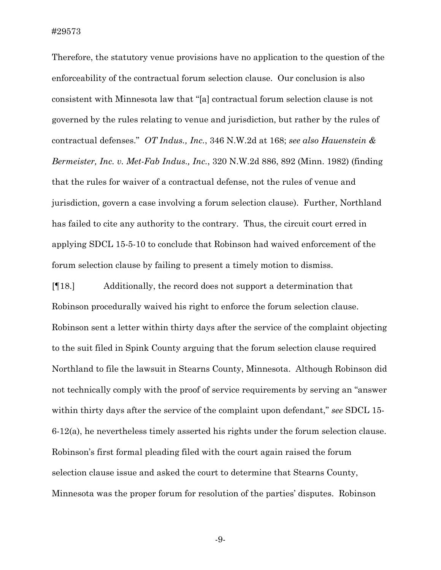Therefore, the statutory venue provisions have no application to the question of the enforceability of the contractual forum selection clause. Our conclusion is also consistent with Minnesota law that "[a] contractual forum selection clause is not governed by the rules relating to venue and jurisdiction, but rather by the rules of contractual defenses." *OT Indus., Inc.*, 346 N.W.2d at 168; *see also Hauenstein & Bermeister, Inc. v. Met-Fab Indus., Inc.*, 320 N.W.2d 886, 892 (Minn. 1982) (finding that the rules for waiver of a contractual defense, not the rules of venue and jurisdiction, govern a case involving a forum selection clause). Further, Northland has failed to cite any authority to the contrary. Thus, the circuit court erred in applying SDCL 15-5-10 to conclude that Robinson had waived enforcement of the forum selection clause by failing to present a timely motion to dismiss.

[¶18.] Additionally, the record does not support a determination that Robinson procedurally waived his right to enforce the forum selection clause. Robinson sent a letter within thirty days after the service of the complaint objecting to the suit filed in Spink County arguing that the forum selection clause required Northland to file the lawsuit in Stearns County, Minnesota. Although Robinson did not technically comply with the proof of service requirements by serving an "answer within thirty days after the service of the complaint upon defendant," *see* SDCL 15- 6-12(a), he nevertheless timely asserted his rights under the forum selection clause. Robinson's first formal pleading filed with the court again raised the forum selection clause issue and asked the court to determine that Stearns County, Minnesota was the proper forum for resolution of the parties' disputes. Robinson

-9-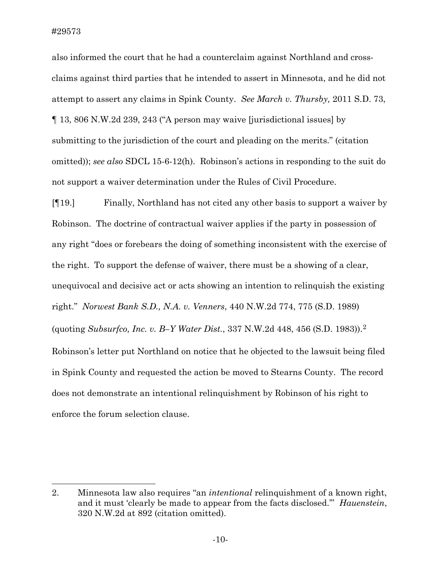also informed the court that he had a counterclaim against Northland and crossclaims against third parties that he intended to assert in Minnesota, and he did not attempt to assert any claims in Spink County. *See March v. Thursby,* 2011 S.D. 73, ¶ 13, 806 N.W.2d 239, 243 ("A person may waive [jurisdictional issues] by submitting to the jurisdiction of the court and pleading on the merits." (citation omitted)); *see also* SDCL 15-6-12(h). Robinson's actions in responding to the suit do not support a waiver determination under the Rules of Civil Procedure.

[¶19.] Finally, Northland has not cited any other basis to support a waiver by Robinson. The doctrine of contractual waiver applies if the party in possession of any right "does or forebears the doing of something inconsistent with the exercise of the right. To support the defense of waiver, there must be a showing of a clear, unequivocal and decisive act or acts showing an intention to relinquish the existing right." *Norwest Bank S.D., N.A. v. Venners*, 440 N.W.2d 774, 775 (S.D. 1989) (quoting *Subsurfco, Inc. v. B–Y Water Dist.*, 337 N.W.2d 448, 456 (S.D. 1983)).[2](#page-10-0)  Robinson's letter put Northland on notice that he objected to the lawsuit being filed in Spink County and requested the action be moved to Stearns County. The record does not demonstrate an intentional relinquishment by Robinson of his right to enforce the forum selection clause.

<span id="page-10-0"></span><sup>2.</sup> Minnesota law also requires "an *intentional* relinquishment of a known right, and it must 'clearly be made to appear from the facts disclosed.'" *Hauenstein*, 320 N.W.2d at 892 (citation omitted).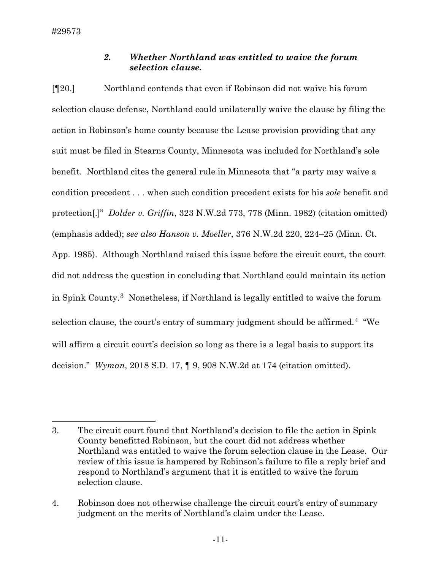## *2. Whether Northland was entitled to waive the forum selection clause.*

[¶20.] Northland contends that even if Robinson did not waive his forum selection clause defense, Northland could unilaterally waive the clause by filing the action in Robinson's home county because the Lease provision providing that any suit must be filed in Stearns County, Minnesota was included for Northland's sole benefit. Northland cites the general rule in Minnesota that "a party may waive a condition precedent . . . when such condition precedent exists for his *sole* benefit and protection[.]" *Dolder v. Griffin*, 323 N.W.2d 773, 778 (Minn. 1982) (citation omitted) (emphasis added); *see also Hanson v. Moeller*, 376 N.W.2d 220, 224–25 (Minn. Ct. App. 1985). Although Northland raised this issue before the circuit court, the court did not address the question in concluding that Northland could maintain its action in Spink County.[3](#page-11-0) Nonetheless, if Northland is legally entitled to waive the forum selection clause, the court's entry of summary judgment should be affirmed.[4](#page-11-1) "We will affirm a circuit court's decision so long as there is a legal basis to support its decision." *Wyman*, 2018 S.D. 17, ¶ 9, 908 N.W.2d at 174 (citation omitted).

<span id="page-11-0"></span><sup>3.</sup> The circuit court found that Northland's decision to file the action in Spink County benefitted Robinson, but the court did not address whether Northland was entitled to waive the forum selection clause in the Lease. Our review of this issue is hampered by Robinson's failure to file a reply brief and respond to Northland's argument that it is entitled to waive the forum selection clause.

<span id="page-11-1"></span><sup>4.</sup> Robinson does not otherwise challenge the circuit court's entry of summary judgment on the merits of Northland's claim under the Lease.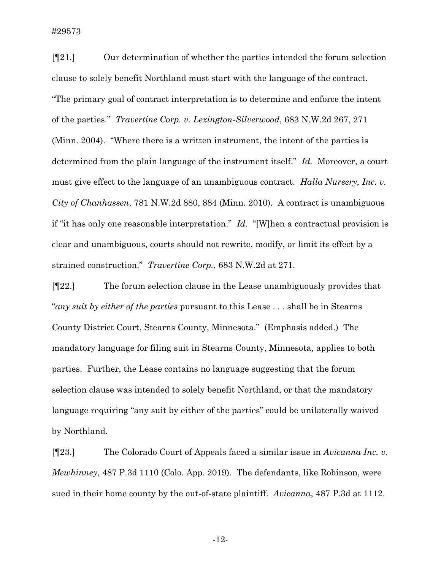[¶21.] Our determination of whether the parties intended the forum selection clause to solely benefit Northland must start with the language of the contract. "The primary goal of contract interpretation is to determine and enforce the intent of the parties." *Travertine Corp. v. Lexington-Silverwood*, 683 N.W.2d 267, 271 (Minn. 2004). "Where there is a written instrument, the intent of the parties is determined from the plain language of the instrument itself." *Id.* Moreover, a court must give effect to the language of an unambiguous contract. *Halla Nursery, Inc. v. City of Chanhassen*, 781 N.W.2d 880, 884 (Minn. 2010). A contract is unambiguous if "it has only one reasonable interpretation." *Id.* "[W]hen a contractual provision is clear and unambiguous, courts should not rewrite, modify, or limit its effect by a strained construction." *Travertine Corp.*, 683 N.W.2d at 271.

[¶22.] The forum selection clause in the Lease unambiguously provides that "*any suit by either of the parties* pursuant to this Lease . . . shall be in Stearns County District Court, Stearns County, Minnesota." (Emphasis added.) The mandatory language for filing suit in Stearns County, Minnesota, applies to both parties. Further, the Lease contains no language suggesting that the forum selection clause was intended to solely benefit Northland, or that the mandatory language requiring "any suit by either of the parties" could be unilaterally waived by Northland.

[¶23.] The Colorado Court of Appeals faced a similar issue in *Avicanna Inc. v. Mewhinney*, 487 P.3d 1110 (Colo. App. 2019). The defendants, like Robinson, were sued in their home county by the out-of-state plaintiff. *Avicanna*, 487 P.3d at 1112.

-12-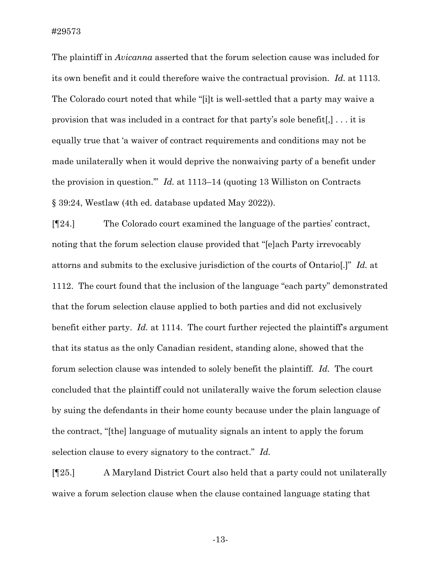The plaintiff in *Avicanna* asserted that the forum selection cause was included for its own benefit and it could therefore waive the contractual provision. *Id.* at 1113. The Colorado court noted that while "[i]t is well-settled that a party may waive a provision that was included in a contract for that party's sole benefit[,] . . . it is equally true that 'a waiver of contract requirements and conditions may not be made unilaterally when it would deprive the nonwaiving party of a benefit under the provision in question.'" *Id.* at 1113–14 (quoting 13 Williston on Contracts § 39:24, Westlaw (4th ed. database updated May 2022)).

[¶24.] The Colorado court examined the language of the parties' contract, noting that the forum selection clause provided that "[e]ach Party irrevocably attorns and submits to the exclusive jurisdiction of the courts of Ontario[.]" *Id.* at 1112. The court found that the inclusion of the language "each party" demonstrated that the forum selection clause applied to both parties and did not exclusively benefit either party. *Id.* at 1114. The court further rejected the plaintiff's argument that its status as the only Canadian resident, standing alone, showed that the forum selection clause was intended to solely benefit the plaintiff. *Id.* The court concluded that the plaintiff could not unilaterally waive the forum selection clause by suing the defendants in their home county because under the plain language of the contract, "[the] language of mutuality signals an intent to apply the forum selection clause to every signatory to the contract." *Id.*

[¶25.] A Maryland District Court also held that a party could not unilaterally waive a forum selection clause when the clause contained language stating that

-13-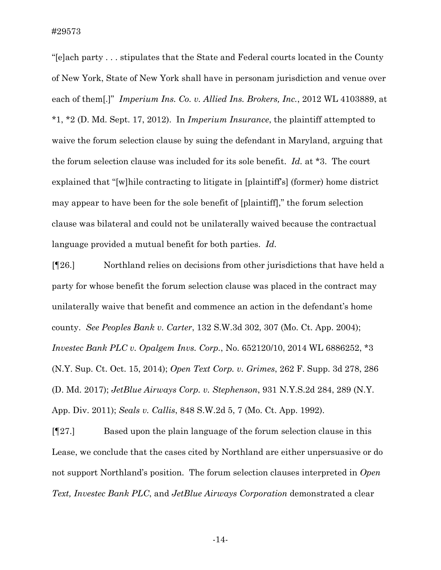"[e]ach party . . . stipulates that the State and Federal courts located in the County of New York, State of New York shall have in personam jurisdiction and venue over each of them[.]" *Imperium Ins. Co. v. Allied Ins. Brokers, Inc.*, 2012 WL 4103889, at \*1, \*2 (D. Md. Sept. 17, 2012). In *Imperium Insurance*, the plaintiff attempted to waive the forum selection clause by suing the defendant in Maryland, arguing that the forum selection clause was included for its sole benefit. *Id.* at \*3. The court explained that "[w]hile contracting to litigate in [plaintiff's] (former) home district may appear to have been for the sole benefit of [plaintiff]," the forum selection clause was bilateral and could not be unilaterally waived because the contractual language provided a mutual benefit for both parties. *Id.*

[¶26.] Northland relies on decisions from other jurisdictions that have held a party for whose benefit the forum selection clause was placed in the contract may unilaterally waive that benefit and commence an action in the defendant's home county. *See Peoples Bank v. Carter*, 132 S.W.3d 302, 307 (Mo. Ct. App. 2004); *Investec Bank PLC v. Opalgem Invs. Corp.*, No. 652120/10, 2014 WL 6886252, \*3 (N.Y. Sup. Ct. Oct. 15, 2014); *Open Text Corp. v. Grimes*, 262 F. Supp. 3d 278, 286 (D. Md. 2017); *JetBlue Airways Corp. v. Stephenson*, 931 N.Y.S.2d 284, 289 (N.Y. App. Div. 2011); *Seals v. Callis*, 848 S.W.2d 5, 7 (Mo. Ct. App. 1992).

[¶27.] Based upon the plain language of the forum selection clause in this Lease, we conclude that the cases cited by Northland are either unpersuasive or do not support Northland's position. The forum selection clauses interpreted in *Open Text, Investec Bank PLC*, and *JetBlue Airways Corporation* demonstrated a clear

-14-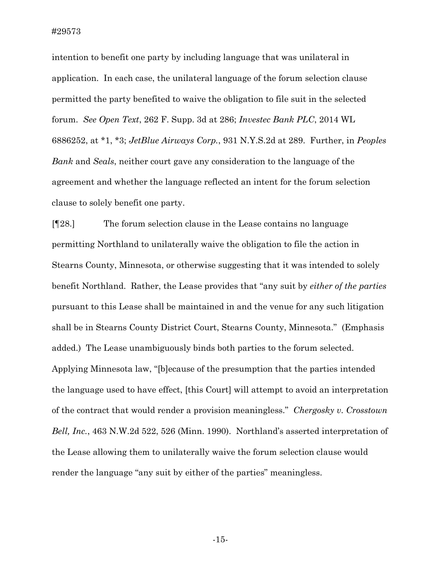intention to benefit one party by including language that was unilateral in application. In each case, the unilateral language of the forum selection clause permitted the party benefited to waive the obligation to file suit in the selected forum. *See Open Text*, 262 F. Supp. 3d at 286; *Investec Bank PLC*, 2014 WL 6886252, at \*1, \*3; *JetBlue Airways Corp.*, 931 N.Y.S.2d at 289. Further, in *Peoples Bank* and *Seals*, neither court gave any consideration to the language of the agreement and whether the language reflected an intent for the forum selection clause to solely benefit one party.

[¶28.] The forum selection clause in the Lease contains no language permitting Northland to unilaterally waive the obligation to file the action in Stearns County, Minnesota, or otherwise suggesting that it was intended to solely benefit Northland. Rather, the Lease provides that "any suit by *either of the parties*  pursuant to this Lease shall be maintained in and the venue for any such litigation shall be in Stearns County District Court, Stearns County, Minnesota." (Emphasis added.) The Lease unambiguously binds both parties to the forum selected. Applying Minnesota law, "[b]ecause of the presumption that the parties intended the language used to have effect, [this Court] will attempt to avoid an interpretation of the contract that would render a provision meaningless." *Chergosky v. Crosstown Bell, Inc.*, 463 N.W.2d 522, 526 (Minn. 1990). Northland's asserted interpretation of the Lease allowing them to unilaterally waive the forum selection clause would render the language "any suit by either of the parties" meaningless.

-15-